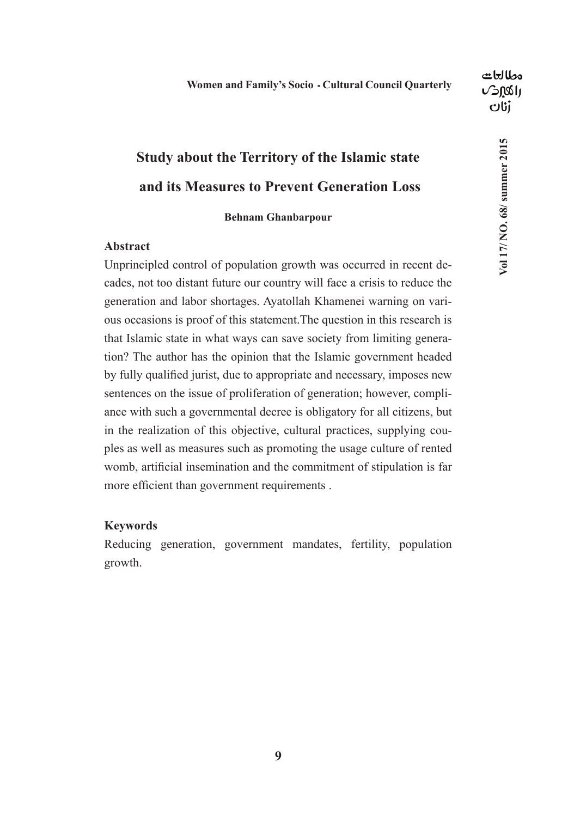## **Study about the Territory of the Islamic state and its Measures to Prevent Generation Loss**

### **Behnam Ghanbarpour**

#### **Abstract**

Unprincipled control of population growth was occurred in recent decades, not too distant future our country will face a crisis to reduce the generation and labor shortages. Ayatollah Khamenei warning on various occasions is proof of this statement.The question in this research is that Islamic state in what ways can save society from limiting generation? The author has the opinion that the Islamic government headed by fully qualified jurist, due to appropriate and necessary, imposes new sentences on the issue of proliferation of generation; however, compliance with such a governmental decree is obligatory for all citizens, but in the realization of this objective, cultural practices, supplying couples as well as measures such as promoting the usage culture of rented womb, artificial insemination and the commitment of stipulation is far more efficient than government requirements .

#### **Keywords**

Reducing generation, government mandates, fertility, population growth.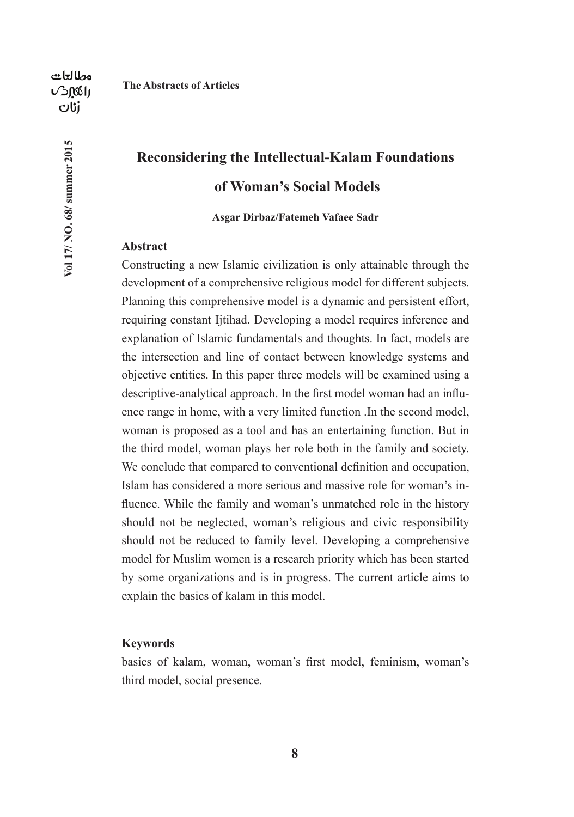Vol 17/ NO. 68/ summer 2015

**The Abstracts of Articles**

### **Reconsidering the Intellectual-Kalam Foundations of Woman's Social Models**

#### **Asgar Dirbaz/Fatemeh Vafaee Sadr**

#### **Abstract**

Constructing a new Islamic civilization is only attainable through the development of a comprehensive religious model for different subjects. Planning this comprehensive model is a dynamic and persistent effort, requiring constant Ijtihad. Developing a model requires inference and explanation of Islamic fundamentals and thoughts. In fact, models are the intersection and line of contact between knowledge systems and objective entities. In this paper three models will be examined using a descriptive-analytical approach. In the first model woman had an influence range in home, with a very limited function .In the second model, woman is proposed as a tool and has an entertaining function. But in the third model, woman plays her role both in the family and society. We conclude that compared to conventional definition and occupation, Islam has considered a more serious and massive role for woman's influence. While the family and woman's unmatched role in the history should not be neglected, woman's religious and civic responsibility should not be reduced to family level. Developing a comprehensive model for Muslim women is a research priority which has been started by some organizations and is in progress. The current article aims to explain the basics of kalam in this model.

#### **Keywords**

basics of kalam, woman, woman's first model, feminism, woman's third model, social presence.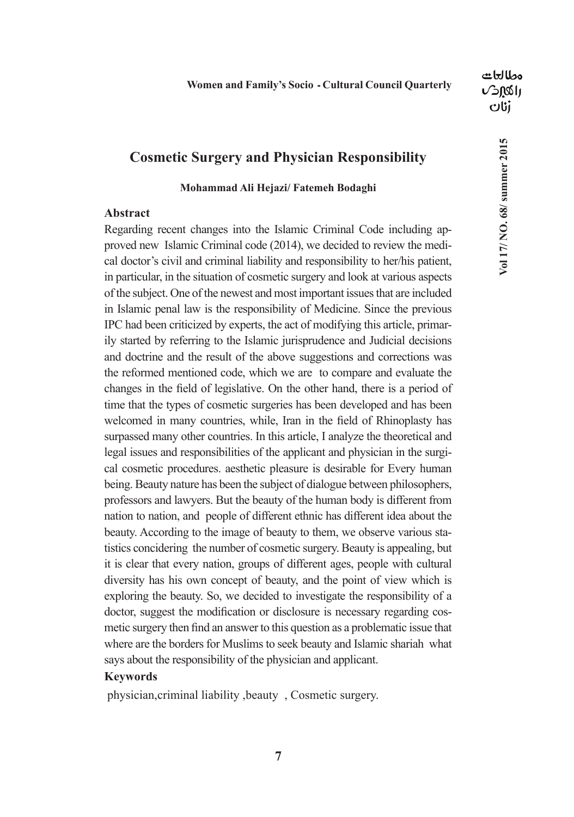### **Cosmetic Surgery and Physician Responsibility**

#### **Mohammad Ali Hejazi/ Fatemeh Bodaghi**

#### **Abstract**

Regarding recent changes into the Islamic Criminal Code including approved new Islamic Criminal code (2014), we decided to review the medical doctor's civil and criminal liability and responsibility to her/his patient, in particular, in the situation of cosmetic surgery and look at various aspects of the subject. One of the newest and most important issues that are included in Islamic penal law is the responsibility of Medicine. Since the previous IPC had been criticized by experts, the act of modifying this article, primarily started by referring to the Islamic jurisprudence and Judicial decisions and doctrine and the result of the above suggestions and corrections was the reformed mentioned code, which we are to compare and evaluate the changes in the field of legislative. On the other hand, there is a period of time that the types of cosmetic surgeries has been developed and has been welcomed in many countries, while, Iran in the field of Rhinoplasty has surpassed many other countries. In this article, I analyze the theoretical and legal issues and responsibilities of the applicant and physician in the surgical cosmetic procedures. aesthetic pleasure is desirable for Every human being. Beauty nature has been the subject of dialogue between philosophers, professors and lawyers. But the beauty of the human body is different from nation to nation, and people of different ethnic has different idea about the beauty. According to the image of beauty to them, we observe various statistics concidering the number of cosmetic surgery. Beauty is appealing, but it is clear that every nation, groups of different ages, people with cultural diversity has his own concept of beauty, and the point of view which is exploring the beauty. So, we decided to investigate the responsibility of a doctor, suggest the modification or disclosure is necessary regarding cosmetic surgery then find an answer to this question as a problematic issue that where are the borders for Muslims to seek beauty and Islamic shariah what says about the responsibility of the physician and applicant.

#### **Keywords**

physician,criminal liability ,beauty , Cosmetic surgery.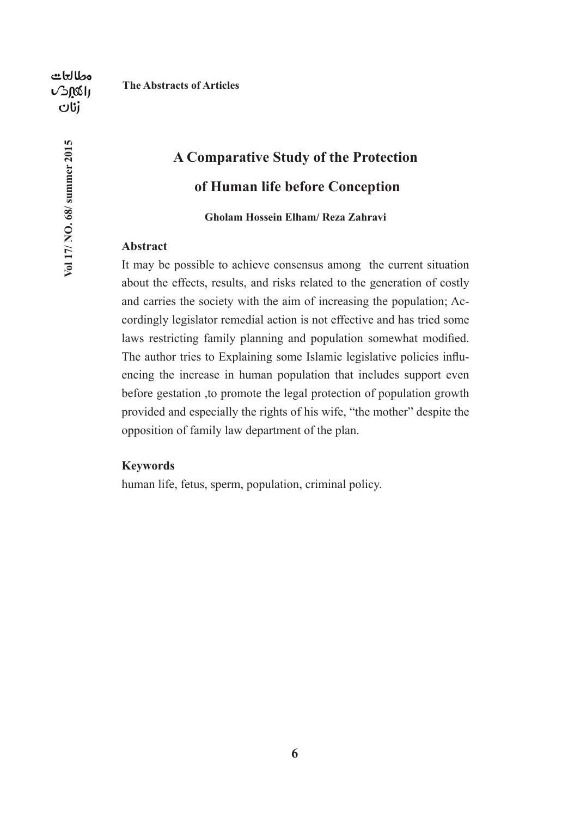Vol 17/ NO. 68/ summer 2015

**The Abstracts of Articles**

# **A Comparative Study of the Protection of Human life before Conception**

#### **Gholam Hossein Elham/ Reza Zahravi**

#### **Abstract**

It may be possible to achieve consensus among the current situation about the effects, results, and risks related to the generation of costly and carries the society with the aim of increasing the population; Accordingly legislator remedial action is not effective and has tried some laws restricting family planning and population somewhat modified. The author tries to Explaining some Islamic legislative policies influencing the increase in human population that includes support even before gestation ,to promote the legal protection of population growth provided and especially the rights of his wife, "the mother" despite the opposition of family law department of the plan.

### **Keywords**

human life, fetus, sperm, population, criminal policy.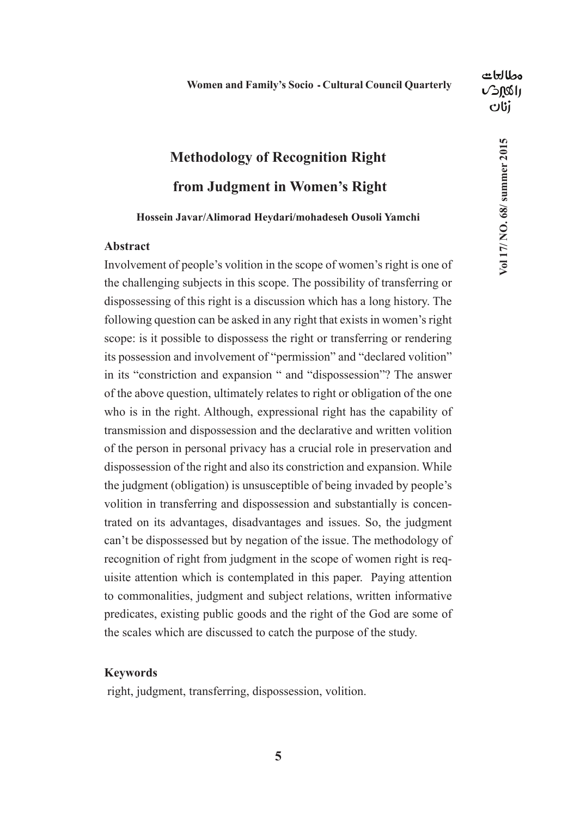Vol 17/NO. 68/ summer 2015

## **Methodology of Recognition Right from Judgment in Women's Right**

#### **Hossein Javar/Alimorad Heydari/mohadeseh Ousoli Yamchi**

#### **Abstract**

Involvement of people's volition in the scope of women's right is one of the challenging subjects in this scope. The possibility of transferring or dispossessing of this right is a discussion which has a long history. The following question can be asked in any right that exists in women's right scope: is it possible to dispossess the right or transferring or rendering its possession and involvement of "permission" and "declared volition" in its "constriction and expansion " and "dispossession"? The answer of the above question, ultimately relates to right or obligation of the one who is in the right. Although, expressional right has the capability of transmission and dispossession and the declarative and written volition of the person in personal privacy has a crucial role in preservation and dispossession of the right and also its constriction and expansion. While the judgment (obligation) is unsusceptible of being invaded by people's volition in transferring and dispossession and substantially is concentrated on its advantages, disadvantages and issues. So, the judgment can't be dispossessed but by negation of the issue. The methodology of recognition of right from judgment in the scope of women right is requisite attention which is contemplated in this paper. Paying attention to commonalities, judgment and subject relations, written informative predicates, existing public goods and the right of the God are some of the scales which are discussed to catch the purpose of the study.

#### **Keywords**

right, judgment, transferring, dispossession, volition.